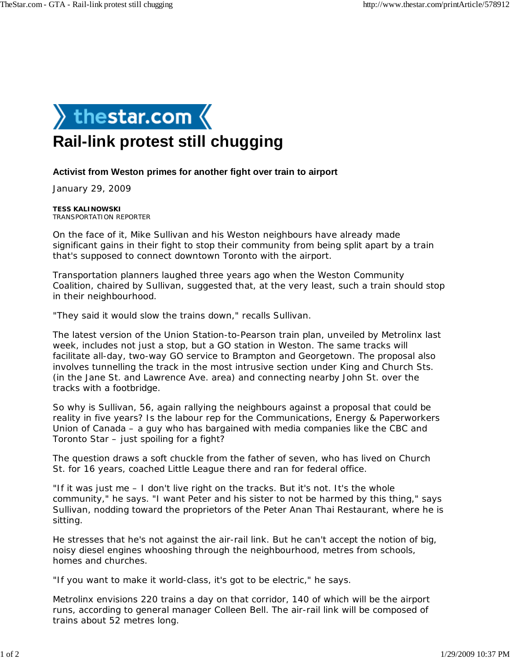

## **Rail-link protest still chugging**

## **Activist from Weston primes for another fight over train to airport**

January 29, 2009

**TESS KALINOWSKI** TRANSPORTATION REPORTER

On the face of it, Mike Sullivan and his Weston neighbours have already made significant gains in their fight to stop their community from being split apart by a train that's supposed to connect downtown Toronto with the airport.

Transportation planners laughed three years ago when the Weston Community Coalition, chaired by Sullivan, suggested that, at the very least, such a train should stop in their neighbourhood.

"They said it would slow the trains down," recalls Sullivan.

The latest version of the Union Station-to-Pearson train plan, unveiled by Metrolinx last week, includes not just a stop, but a GO station in Weston. The same tracks will facilitate all-day, two-way GO service to Brampton and Georgetown. The proposal also involves tunnelling the track in the most intrusive section under King and Church Sts. (in the Jane St. and Lawrence Ave. area) and connecting nearby John St. over the tracks with a footbridge.

So why is Sullivan, 56, again rallying the neighbours against a proposal that could be reality in five years? Is the labour rep for the Communications, Energy & Paperworkers Union of Canada – a guy who has bargained with media companies like the CBC and *Toronto Star* – just spoiling for a fight?

The question draws a soft chuckle from the father of seven, who has lived on Church St. for 16 years, coached Little League there and ran for federal office.

"If it was just me – I don't live right on the tracks. But it's not. It's the whole community," he says. "I want Peter and his sister to not be harmed by this thing," says Sullivan, nodding toward the proprietors of the Peter Anan Thai Restaurant, where he is sitting.

He stresses that he's not against the air-rail link. But he can't accept the notion of big, noisy diesel engines whooshing through the neighbourhood, metres from schools, homes and churches.

"If you want to make it world-class, it's got to be electric," he says.

Metrolinx envisions 220 trains a day on that corridor, 140 of which will be the airport runs, according to general manager Colleen Bell. The air-rail link will be composed of trains about 52 metres long.